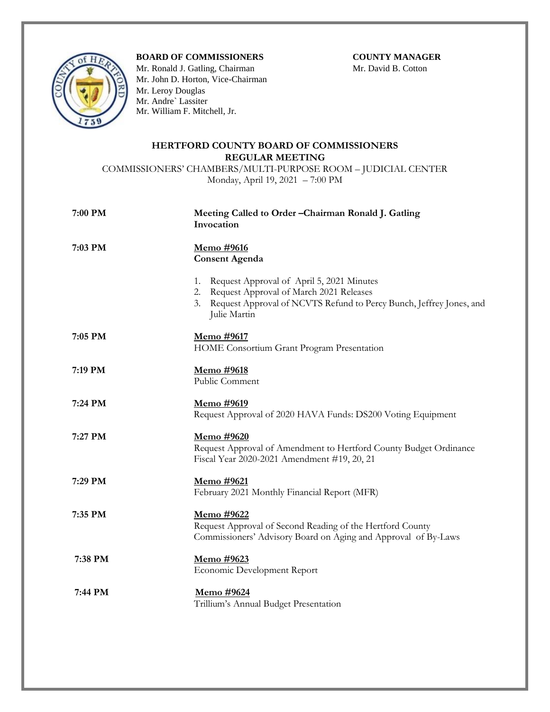## **BOARD OF COMMISSIONERS COUNTY MANAGER**



Mr. Ronald J. Gatling, ChairmanMr. David B. Cotton Mr. John D. Horton, Vice-Chairman Mr. Leroy Douglas Mr. Andre` Lassiter Mr. William F. Mitchell, Jr.

## **HERTFORD COUNTY BOARD OF COMMISSIONERS REGULAR MEETING**

COMMISSIONERS' CHAMBERS/MULTI-PURPOSE ROOM – JUDICIAL CENTER Monday, April 19, 2021 – 7:00 PM

| 7:00 PM | Meeting Called to Order-Chairman Ronald J. Gatling<br>Invocation                                                                                                                           |
|---------|--------------------------------------------------------------------------------------------------------------------------------------------------------------------------------------------|
| 7:03 PM | <u>Memo #9616</u><br><b>Consent Agenda</b>                                                                                                                                                 |
|         | Request Approval of April 5, 2021 Minutes<br>1.<br>Request Approval of March 2021 Releases<br>2.<br>3. Request Approval of NCVTS Refund to Percy Bunch, Jeffrey Jones, and<br>Julie Martin |
| 7:05 PM | Memo #9617<br>HOME Consortium Grant Program Presentation                                                                                                                                   |
| 7:19 PM | Memo #9618<br>Public Comment                                                                                                                                                               |
| 7:24 PM | Memo #9619<br>Request Approval of 2020 HAVA Funds: DS200 Voting Equipment                                                                                                                  |
| 7:27 PM | Memo #9620<br>Request Approval of Amendment to Hertford County Budget Ordinance<br>Fiscal Year 2020-2021 Amendment #19, 20, 21                                                             |
| 7:29 PM | Memo #9621<br>February 2021 Monthly Financial Report (MFR)                                                                                                                                 |
| 7:35 PM | Memo #9622<br>Request Approval of Second Reading of the Hertford County<br>Commissioners' Advisory Board on Aging and Approval of By-Laws                                                  |
| 7:38 PM | Memo #9623<br>Economic Development Report                                                                                                                                                  |
| 7:44 PM | Memo #9624<br>Trillium's Annual Budget Presentation                                                                                                                                        |